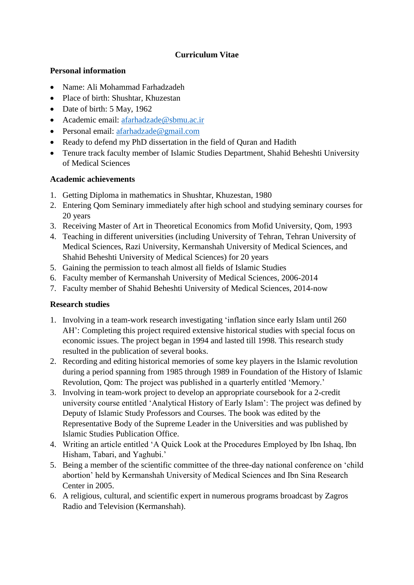# **Curriculum Vitae**

## **Personal information**

- Name: Ali Mohammad Farhadzadeh
- Place of birth: Shushtar, Khuzestan
- Date of birth: 5 May, 1962
- Academic email: [afarhadzade@sbmu.ac.ir](mailto:afarhadzade@sbmu.ac.ir)
- Personal email: [afarhadzade@gmail.com](mailto:afarhadzade@gmail.com)
- Ready to defend my PhD dissertation in the field of Ouran and Hadith
- Tenure track faculty member of Islamic Studies Department, Shahid Beheshti University of Medical Sciences

## **Academic achievements**

- 1. Getting Diploma in mathematics in Shushtar, Khuzestan, 1980
- 2. Entering Qom Seminary immediately after high school and studying seminary courses for 20 years
- 3. Receiving Master of Art in Theoretical Economics from Mofid University, Qom, 1993
- 4. Teaching in different universities (including University of Tehran, Tehran University of Medical Sciences, Razi University, Kermanshah University of Medical Sciences, and Shahid Beheshti University of Medical Sciences) for 20 years
- 5. Gaining the permission to teach almost all fields of Islamic Studies
- 6. Faculty member of Kermanshah University of Medical Sciences, 2006-2014
- 7. Faculty member of Shahid Beheshti University of Medical Sciences, 2014-now

# **Research studies**

- 1. Involving in a team-work research investigating 'inflation since early Islam until 260 AH': Completing this project required extensive historical studies with special focus on economic issues. The project began in 1994 and lasted till 1998. This research study resulted in the publication of several books.
- 2. Recording and editing historical memories of some key players in the Islamic revolution during a period spanning from 1985 through 1989 in Foundation of the History of Islamic Revolution, Qom: The project was published in a quarterly entitled 'Memory.'
- 3. Involving in team-work project to develop an appropriate coursebook for a 2-credit university course entitled 'Analytical History of Early Islam': The project was defined by Deputy of Islamic Study Professors and Courses. The book was edited by the Representative Body of the Supreme Leader in the Universities and was published by Islamic Studies Publication Office.
- 4. Writing an article entitled 'A Quick Look at the Procedures Employed by Ibn Ishaq, Ibn Hisham, Tabari, and Yaghubi.'
- 5. Being a member of the scientific committee of the three-day national conference on 'child abortion' held by Kermanshah University of Medical Sciences and Ibn Sina Research Center in 2005.
- 6. A religious, cultural, and scientific expert in numerous programs broadcast by Zagros Radio and Television (Kermanshah).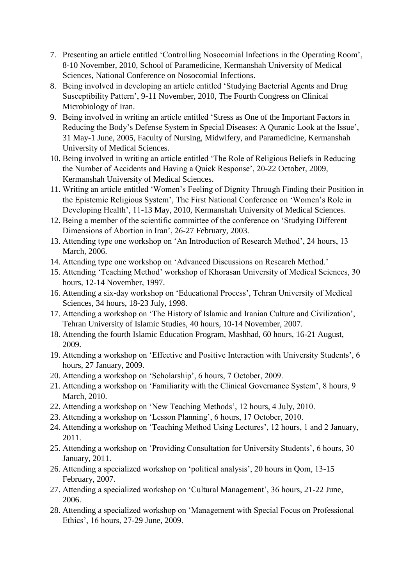- 7. Presenting an article entitled 'Controlling Nosocomial Infections in the Operating Room', 8-10 November, 2010, School of Paramedicine, Kermanshah University of Medical Sciences, National Conference on Nosocomial Infections.
- 8. Being involved in developing an article entitled 'Studying Bacterial Agents and Drug Susceptibility Pattern', 9-11 November, 2010, The Fourth Congress on Clinical Microbiology of Iran.
- 9. Being involved in writing an article entitled 'Stress as One of the Important Factors in Reducing the Body's Defense System in Special Diseases: A Quranic Look at the Issue', 31 May-1 June, 2005, Faculty of Nursing, Midwifery, and Paramedicine, Kermanshah University of Medical Sciences.
- 10. Being involved in writing an article entitled 'The Role of Religious Beliefs in Reducing the Number of Accidents and Having a Quick Response', 20-22 October, 2009, Kermanshah University of Medical Sciences.
- 11. Writing an article entitled 'Women's Feeling of Dignity Through Finding their Position in the Epistemic Religious System', The First National Conference on 'Women's Role in Developing Health', 11-13 May, 2010, Kermanshah University of Medical Sciences.
- 12. Being a member of the scientific committee of the conference on 'Studying Different Dimensions of Abortion in Iran', 26-27 February, 2003.
- 13. Attending type one workshop on 'An Introduction of Research Method', 24 hours, 13 March, 2006.
- 14. Attending type one workshop on 'Advanced Discussions on Research Method.'
- 15. Attending 'Teaching Method' workshop of Khorasan University of Medical Sciences, 30 hours, 12-14 November, 1997.
- 16. Attending a six-day workshop on 'Educational Process', Tehran University of Medical Sciences, 34 hours, 18-23 July, 1998.
- 17. Attending a workshop on 'The History of Islamic and Iranian Culture and Civilization', Tehran University of Islamic Studies, 40 hours, 10-14 November, 2007.
- 18. Attending the fourth Islamic Education Program, Mashhad, 60 hours, 16-21 August, 2009.
- 19. Attending a workshop on 'Effective and Positive Interaction with University Students', 6 hours, 27 January, 2009.
- 20. Attending a workshop on 'Scholarship', 6 hours, 7 October, 2009.
- 21. Attending a workshop on 'Familiarity with the Clinical Governance System', 8 hours, 9 March, 2010.
- 22. Attending a workshop on 'New Teaching Methods', 12 hours, 4 July, 2010.
- 23. Attending a workshop on 'Lesson Planning', 6 hours, 17 October, 2010.
- 24. Attending a workshop on 'Teaching Method Using Lectures', 12 hours, 1 and 2 January, 2011.
- 25. Attending a workshop on 'Providing Consultation for University Students', 6 hours, 30 January, 2011.
- 26. Attending a specialized workshop on 'political analysis', 20 hours in Qom, 13-15 February, 2007.
- 27. Attending a specialized workshop on 'Cultural Management', 36 hours, 21-22 June, 2006.
- 28. Attending a specialized workshop on 'Management with Special Focus on Professional Ethics', 16 hours, 27-29 June, 2009.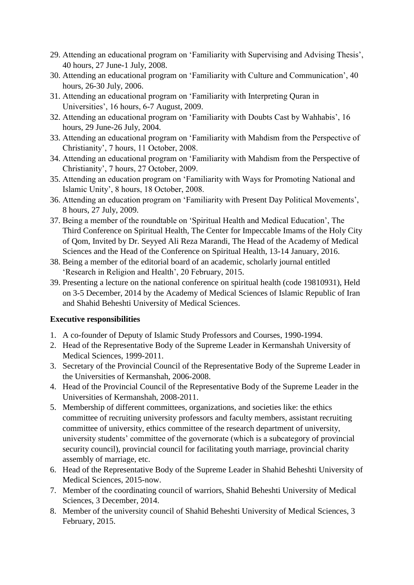- 29. Attending an educational program on 'Familiarity with Supervising and Advising Thesis', 40 hours, 27 June-1 July, 2008.
- 30. Attending an educational program on 'Familiarity with Culture and Communication', 40 hours, 26-30 July, 2006.
- 31. Attending an educational program on 'Familiarity with Interpreting Quran in Universities', 16 hours, 6-7 August, 2009.
- 32. Attending an educational program on 'Familiarity with Doubts Cast by Wahhabis', 16 hours, 29 June-26 July, 2004.
- 33. Attending an educational program on 'Familiarity with Mahdism from the Perspective of Christianity', 7 hours, 11 October, 2008.
- 34. Attending an educational program on 'Familiarity with Mahdism from the Perspective of Christianity', 7 hours, 27 October, 2009.
- 35. Attending an education program on 'Familiarity with Ways for Promoting National and Islamic Unity', 8 hours, 18 October, 2008.
- 36. Attending an education program on 'Familiarity with Present Day Political Movements', 8 hours, 27 July, 2009.
- 37. Being a member of the roundtable on 'Spiritual Health and Medical Education', The Third Conference on Spiritual Health, The Center for Impeccable Imams of the Holy City of Qom, Invited by Dr. Seyyed Ali Reza Marandi, The Head of the Academy of Medical Sciences and the Head of the Conference on Spiritual Health, 13-14 January, 2016.
- 38. Being a member of the editorial board of an academic, scholarly journal entitled 'Research in Religion and Health', 20 February, 2015.
- 39. Presenting a lecture on the national conference on spiritual health (code 19810931), Held on 3-5 December, 2014 by the Academy of Medical Sciences of Islamic Republic of Iran and Shahid Beheshti University of Medical Sciences.

## **Executive responsibilities**

- 1. A co-founder of Deputy of Islamic Study Professors and Courses, 1990-1994.
- 2. Head of the Representative Body of the Supreme Leader in Kermanshah University of Medical Sciences, 1999-2011.
- 3. Secretary of the Provincial Council of the Representative Body of the Supreme Leader in the Universities of Kermanshah, 2006-2008.
- 4. Head of the Provincial Council of the Representative Body of the Supreme Leader in the Universities of Kermanshah, 2008-2011.
- 5. Membership of different committees, organizations, and societies like: the ethics committee of recruiting university professors and faculty members, assistant recruiting committee of university, ethics committee of the research department of university, university students' committee of the governorate (which is a subcategory of provincial security council), provincial council for facilitating youth marriage, provincial charity assembly of marriage, etc.
- 6. Head of the Representative Body of the Supreme Leader in Shahid Beheshti University of Medical Sciences, 2015-now.
- 7. Member of the coordinating council of warriors, Shahid Beheshti University of Medical Sciences, 3 December, 2014.
- 8. Member of the university council of Shahid Beheshti University of Medical Sciences, 3 February, 2015.